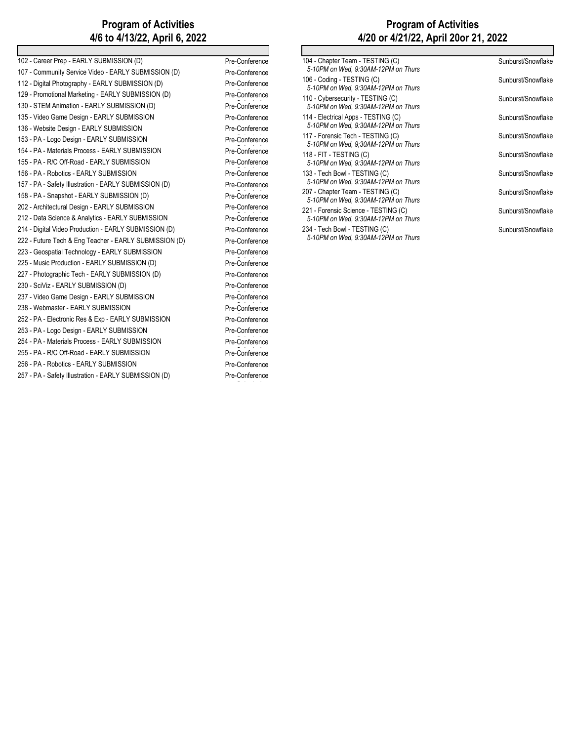## **Program of Activities 4/6 to 4/13/22, April 6, 2022**

| 102 - Career Prep - EARLY SUBMISSION (D)               | Pre-Conference |
|--------------------------------------------------------|----------------|
| 107 - Community Service Video - EARLY SUBMISSION (D)   | Pre-Conference |
| 112 - Digital Photography - EARLY SUBMISSION (D)       | Pre-Conference |
| 129 - Promotional Marketing - EARLY SUBMISSION (D)     | Pre-Conference |
| 130 - STEM Animation - EARLY SUBMISSION (D)            | Pre-Conference |
| 135 - Video Game Design - EARLY SUBMISSION             | Pre-Conference |
| 136 - Website Design - EARLY SUBMISSION                | Pre-Conference |
| 153 - PA - Logo Design - EARLY SUBMISSION              | Pre-Conference |
| 154 - PA - Materials Process - EARLY SUBMISSION        | Pre-Conference |
| 155 - PA - R/C Off-Road - EARLY SUBMISSION             | Pre-Conference |
| 156 - PA - Robotics - EARLY SUBMISSION                 | Pre-Conference |
| 157 - PA - Safety Illustration - EARLY SUBMISSION (D)  | Pre-Conference |
| 158 - PA - Snapshot - EARLY SUBMISSION (D)             | Pre-Conference |
| 202 - Architectural Design - EARLY SUBMISSION          | Pre-Conference |
| 212 - Data Science & Analytics - EARLY SUBMISSION      | Pre-Conference |
| 214 - Digital Video Production - EARLY SUBMISSION (D)  | Pre-Conference |
| 222 - Future Tech & Eng Teacher - EARLY SUBMISSION (D) | Pre-Conference |
| 223 - Geospatial Technology - EARLY SUBMISSION         | Pre-Conference |
| 225 - Music Production - EARLY SUBMISSION (D)          | Pre-Conference |
| 227 - Photographic Tech - EARLY SUBMISSION (D)         | Pre-Conference |
| 230 - SciViz - EARLY SUBMISSION (D)                    | Pre-Conference |
| 237 - Video Game Design - EARLY SUBMISSION             | Pre-Conference |
| 238 - Webmaster - EARLY SUBMISSION                     | Pre-Conference |
| 252 - PA - Electronic Res & Exp - EARLY SUBMISSION     | Pre-Conference |
| 253 - PA - Logo Design - EARLY SUBMISSION              | Pre-Conference |
| 254 - PA - Materials Process - EARLY SUBMISSION        | Pre-Conference |
| 255 - PA - R/C Off-Road - EARLY SUBMISSION             | Pre-Conference |
| 256 - PA - Robotics - EARLY SUBMISSION                 | Pre-Conference |
| 257 - PA - Safety Illustration - EARLY SUBMISSION (D)  | Pre-Conference |
|                                                        |                |

# **Program of Activities 4/20 or 4/21/22, April 20or 21, 2022**

| Sunburst/Snowflake |
|--------------------|
| Sunburst/Snowflake |
| Sunburst/Snowflake |
| Sunburst/Snowflake |
| Sunburst/Snowflake |
| Sunburst/Snowflake |
| Sunburst/Snowflake |
| Sunburst/Snowflake |
| Sunburst/Snowflake |
| Sunburst/Snowflake |
|                    |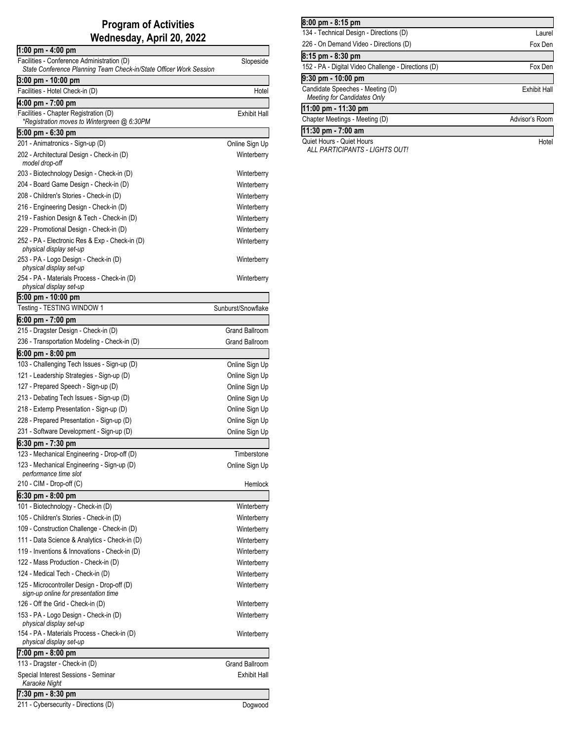## **Program of Activities Wednesday, April 20, 2022**

| 1:00 pm - 4:00 pm                                                         |                            |
|---------------------------------------------------------------------------|----------------------------|
| Facilities - Conference Administration (D)                                | Slopeside                  |
| State Conference Planning Team Check-in/State Officer Work Session        |                            |
| 3:00 pm - 10:00 pm                                                        |                            |
| Facilities - Hotel Check-in (D)                                           | Hotel                      |
| 4:00 pm - 7:00 pm                                                         |                            |
| Facilities - Chapter Registration (D)                                     | <b>Exhibit Hall</b>        |
| *Registration moves to Wintergreen @ 6:30PM                               |                            |
| 5:00 pm - 6:30 pm                                                         |                            |
| 201 - Animatronics - Sign-up (D)                                          | Online Sign Up             |
| 202 - Architectural Design - Check-in (D)<br>model drop-off               | Winterberry                |
| 203 - Biotechnology Design - Check-in (D)                                 | Winterberry                |
| 204 - Board Game Design - Check-in (D)                                    | Winterberry                |
| 208 - Children's Stories - Check-in (D)                                   | Winterberry                |
| 216 - Engineering Design - Check-in (D)                                   | Winterberry                |
| 219 - Fashion Design & Tech - Check-in (D)                                | Winterberry                |
| 229 - Promotional Design - Check-in (D)                                   | Winterberry                |
| 252 - PA - Electronic Res & Exp - Check-in (D)                            | Winterberry                |
| physical display set-up                                                   |                            |
| 253 - PA - Logo Design - Check-in (D)<br>physical display set-up          | Winterberry                |
| 254 - PA - Materials Process - Check-in (D)<br>physical display set-up    | Winterberry                |
| 5:00 pm - 10:00 pm                                                        |                            |
| Testing - TESTING WINDOW 1                                                | Sunburst/Snowflake         |
| 6:00 pm - 7:00 pm                                                         |                            |
| 215 - Dragster Design - Check-in (D)                                      | <b>Grand Ballroom</b>      |
| 236 - Transportation Modeling - Check-in (D)                              | <b>Grand Ballroom</b>      |
| 6:00 pm - 8:00 pm                                                         |                            |
| 103 - Challenging Tech Issues - Sign-up (D)                               | Online Sign Up             |
| 121 - Leadership Strategies - Sign-up (D)                                 | Online Sign Up             |
| 127 - Prepared Speech - Sign-up (D)                                       | Online Sign Up             |
| 213 - Debating Tech Issues - Sign-up (D)                                  | Online Sign Up             |
| 218 - Extemp Presentation - Sign-up (D)                                   | Online Sign Up             |
| 228 - Prepared Presentation - Sign-up (D)                                 | Online Sign Up             |
| 231 - Software Development - Sign-up (D)                                  | Online Sign Up             |
| 6:30 pm - 7:30 pm                                                         |                            |
| 123 - Mechanical Engineering - Drop-off (D)                               | Timberstone                |
| 123 - Mechanical Engineering - Sign-up (D)<br>performance time slot       | Online Sign Up             |
| 210 - CIM - Drop-off (C)                                                  | Hemlock                    |
| 6:30 pm - 8:00 pm                                                         |                            |
| 101 - Biotechnology - Check-in (D)                                        | Winterberry                |
| 105 - Children's Stories - Check-in (D)                                   | Winterberry                |
| 109 - Construction Challenge - Check-in (D)                               | Winterberry                |
| 111 - Data Science & Analytics - Check-in (D)                             | Winterberry                |
| 119 - Inventions & Innovations - Check-in (D)                             | Winterberry                |
| 122 - Mass Production - Check-in (D)                                      | Winterberry                |
| 124 - Medical Tech - Check-in (D)                                         | Winterberry                |
| 125 - Microcontroller Design - Drop-off (D)                               | Winterberry                |
| sign-up online for presentation time<br>126 - Off the Grid - Check-in (D) |                            |
| 153 - PA - Logo Design - Check-in (D)                                     | Winterberry<br>Winterberry |
| physical display set-up                                                   |                            |
| 154 - PA - Materials Process - Check-in (D)<br>physical display set-up    | Winterberry                |
| 7:00 pm - 8:00 pm                                                         |                            |
| 113 - Dragster - Check-in (D)                                             | <b>Grand Ballroom</b>      |
| Special Interest Sessions - Seminar<br>Karaoke Night                      | <b>Exhibit Hall</b>        |
| 7:30 pm - 8:30 pm                                                         |                            |
| 211 - Cybersecurity - Directions (D)                                      | Dogwood                    |

| 8:00 pm - 8:15 pm                                                      |                     |
|------------------------------------------------------------------------|---------------------|
| 134 - Technical Design - Directions (D)                                | Laurel              |
| 226 - On Demand Video - Directions (D)                                 | Fox Den             |
| 8:15 pm - 8:30 pm                                                      |                     |
| 152 - PA - Digital Video Challenge - Directions (D)                    | Fox Den             |
| 9:30 pm - 10:00 pm                                                     |                     |
| Candidate Speeches - Meeting (D)<br><b>Meeting for Candidates Only</b> | <b>Exhibit Hall</b> |
| 11:00 pm - 11:30 pm                                                    |                     |
| Chapter Meetings - Meeting (D)                                         | Advisor's Room      |
| 11:30 pm - 7:00 am                                                     |                     |
| Quiet Hours - Quiet Hours                                              | Hotel               |

Quiet Hours - Quiet Hours *ALL PARTICIPANTS - LIGHTS OUT!*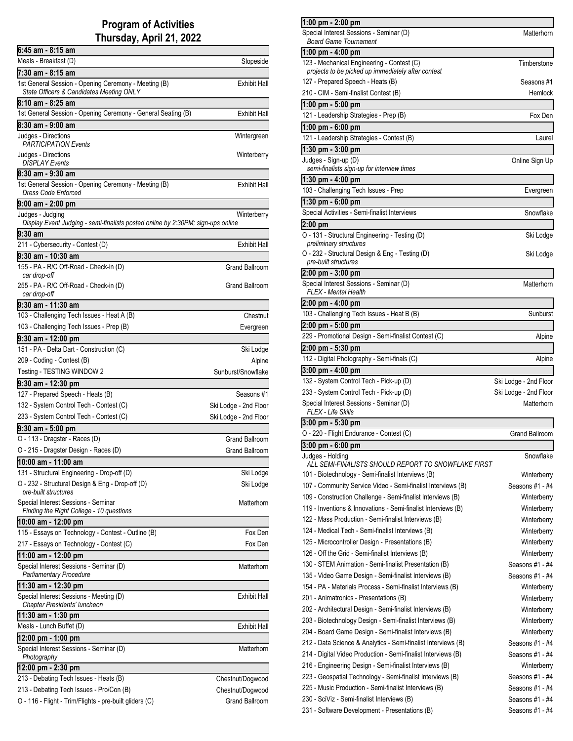### **Program of Activities Thursday, April 21, 2022**

| 6:45 am - 8:15 am                                                                                |                       |
|--------------------------------------------------------------------------------------------------|-----------------------|
| Meals - Breakfast (D)                                                                            | Slopeside             |
| 7:30 am - 8:15 am                                                                                |                       |
| 1st General Session - Opening Ceremony - Meeting (B)<br>State Officers & Candidates Meeting ONLY | Exhibit Hall          |
| 8:10 am - 8:25 am                                                                                |                       |
| 1st General Session - Opening Ceremony - General Seating (B)                                     | Exhibit Hall          |
| 8:30 am - 9:00 am                                                                                |                       |
| Judges - Directions                                                                              | Wintergreen           |
| <b>PARTICIPATION Events</b>                                                                      |                       |
| Judges - Directions<br><b>DISPLAY Events</b>                                                     | Winterberry           |
| 8:30 am - 9:30 am                                                                                |                       |
| 1st General Session - Opening Ceremony - Meeting (B)                                             | Exhibit Hall          |
| <b>Dress Code Enforced</b>                                                                       |                       |
| $9:00$ am - 2:00 pm                                                                              |                       |
| Judges - Judging                                                                                 | Winterberry           |
| Display Event Judging - semi-finalists posted online by 2:30PM; sign-ups online                  |                       |
| 9:30 am                                                                                          |                       |
| 211 - Cybersecurity - Contest (D)                                                                | Exhibit Hall          |
| 9:30 am - 10:30 am                                                                               |                       |
| 155 - PA - R/C Off-Road - Check-in (D)<br>car drop-off                                           | Grand Ballroom        |
| 255 - PA - R/C Off-Road - Check-in (D)                                                           | Grand Ballroom        |
| car drop-off                                                                                     |                       |
| 9:30 am - 11:30 am                                                                               |                       |
| 103 - Challenging Tech Issues - Heat A (B)                                                       | Chestnut              |
| 103 - Challenging Tech Issues - Prep (B)                                                         | Evergreen             |
| 9:30 am - 12:00 pm                                                                               |                       |
| 151 - PA - Delta Dart - Construction (C)                                                         | Ski Lodge             |
| 209 - Coding - Contest (B)                                                                       | Alpine                |
| Testing - TESTING WINDOW 2                                                                       | Sunburst/Snowflake    |
| 9:30 am - 12:30 pm                                                                               |                       |
| 127 - Prepared Speech - Heats (B)                                                                | Seasons #1            |
| 132 - System Control Tech - Contest (C)                                                          | Ski Lodge - 2nd Floor |
| 233 - System Control Tech - Contest (C)                                                          | Ski Lodge - 2nd Floor |
| $9:30$ am - 5:00 pm                                                                              |                       |
| O - 113 - Dragster - Races (D)                                                                   | <b>Grand Ballroom</b> |
| O - 215 - Dragster Design - Races (D)                                                            | <b>Grand Ballroom</b> |
| 10:00 am - 11:00 am                                                                              |                       |
| 131 - Structural Engineering - Drop-off (D)                                                      | Ski Lodge             |
| O - 232 - Structural Design & Eng - Drop-off (D)                                                 | Ski Lodge             |
| pre-built structures                                                                             |                       |
| Special Interest Sessions - Seminar                                                              | Matterhorn            |
| Finding the Right College - 10 questions                                                         |                       |
| 10:00 am - 12:00 pm<br>115 - Essays on Technology - Contest - Outline (B)                        |                       |
|                                                                                                  | Fox Den               |
| 217 - Essays on Technology - Contest (C)                                                         | Fox Den               |
| 11:00 am - 12:00 pm                                                                              |                       |
| Special Interest Sessions - Seminar (D)<br>Parliamentary Procedure                               | Matterhorn            |
| 11:30 am - 12:30 pm                                                                              |                       |
| Special Interest Sessions - Meeting (D)                                                          | Exhibit Hall          |
| Chapter Presidents' luncheon                                                                     |                       |
| 11:30 am - 1:30 pm                                                                               |                       |
| Meals - Lunch Buffet (D)                                                                         | Exhibit Hall          |
| 12:00 pm - 1:00 pm                                                                               |                       |
| Special Interest Sessions - Seminar (D)                                                          | Matterhorn            |
| Photography                                                                                      |                       |
| 12:00 pm - 2:30 pm                                                                               |                       |
| 213 - Debating Tech Issues - Heats (B)                                                           | Chestnut/Dogwood      |
| 213 - Debating Tech Issues - Pro/Con (B)                                                         | Chestnut/Dogwood      |
| O - 116 - Flight - Trim/Flights - pre-built gliders (C)                                          | Grand Ballroom        |

| 1:00 pm - 2:00 pm                                                                                                            |                                |
|------------------------------------------------------------------------------------------------------------------------------|--------------------------------|
| Special Interest Sessions - Seminar (D)                                                                                      | Matterhorn                     |
| <b>Board Game Tournament</b>                                                                                                 |                                |
| 1:00 pm - 4:00 pm                                                                                                            |                                |
| 123 - Mechanical Engineering - Contest (C)                                                                                   | Timberstone                    |
| projects to be picked up immediately after contest<br>127 - Prepared Speech - Heats (B)                                      | Seasons #1                     |
| 210 - CIM - Semi-finalist Contest (B)                                                                                        | Hemlock                        |
|                                                                                                                              |                                |
| 1:00 pm - 5:00 pm<br>121 - Leadership Strategies - Prep (B)                                                                  | Fox Den                        |
|                                                                                                                              |                                |
| 1:00 pm - 6:00 pm<br>121 - Leadership Strategies - Contest (B)                                                               | Laurel                         |
| 1:30 pm - 3:00 pm                                                                                                            |                                |
| Judges - Sign-up (D)                                                                                                         | Online Sign Up                 |
| semi-finalists sign-up for interview times                                                                                   |                                |
| 1:30 pm - 4:00 pm                                                                                                            |                                |
| 103 - Challenging Tech Issues - Prep                                                                                         | Evergreen                      |
| 1:30 pm - 6:00 pm                                                                                                            |                                |
| Special Activities - Semi-finalist Interviews                                                                                | Snowflake                      |
| $2:00$ pm                                                                                                                    |                                |
| O - 131 - Structural Engineering - Testing (D)                                                                               | Ski Lodge                      |
| preliminary structures                                                                                                       |                                |
| O - 232 - Structural Design & Eng - Testing (D)<br>pre-built structures                                                      | Ski Lodge                      |
|                                                                                                                              |                                |
| 2:00 pm - 3:00 pm<br>Special Interest Sessions - Seminar (D)                                                                 | Matterhorn                     |
| FLEX - Mental Health                                                                                                         |                                |
| 2:00 pm - 4:00 pm                                                                                                            |                                |
| 103 - Challenging Tech Issues - Heat B (B)                                                                                   | Sunburst                       |
| 2:00 pm - 5:00 pm                                                                                                            |                                |
| 229 - Promotional Design - Semi-finalist Contest (C)                                                                         | Alpine                         |
| 2:00 pm - 5:30 pm                                                                                                            |                                |
| 112 - Digital Photography - Semi-finals (C)                                                                                  | Alpine                         |
|                                                                                                                              |                                |
| 3:00 pm - 4:00 pm                                                                                                            |                                |
| 132 - System Control Tech - Pick-up (D)                                                                                      | Ski Lodge - 2nd Floor          |
| 233 - System Control Tech - Pick-up (D)                                                                                      | Ski Lodge - 2nd Floor          |
| Special Interest Sessions - Seminar (D)                                                                                      | Matterhorn                     |
| FLEX - Life Skills                                                                                                           |                                |
| 3:00 pm - 5:30 pm                                                                                                            |                                |
| O - 220 - Flight Endurance - Contest (C)                                                                                     | Grand Ballroom                 |
| 3:00 pm - 6:00 pm                                                                                                            |                                |
| Judges - Holding                                                                                                             | Snowflake                      |
| ALL SEMI-FINALISTS SHOULD REPORT TO SNOWFLAKE FIRST                                                                          |                                |
| 101 - Biotechnology - Semi-finalist Interviews (B)                                                                           | Winterberry<br>Seasons #1 - #4 |
| 107 - Community Service Video - Semi-finalist Interviews (B)                                                                 |                                |
| 109 - Construction Challenge - Semi-finalist Interviews (B)<br>119 - Inventions & Innovations - Semi-finalist Interviews (B) | Winterberry                    |
|                                                                                                                              | Winterberry                    |
| 122 - Mass Production - Semi-finalist Interviews (B)                                                                         | Winterberry                    |
| 124 - Medical Tech - Semi-finalist Interviews (B)                                                                            | Winterberry                    |
| 125 - Microcontroller Design - Presentations (B)                                                                             | Winterberry                    |
| 126 - Off the Grid - Semi-finalist Interviews (B)                                                                            | Winterberry                    |
| 130 - STEM Animation - Semi-finalist Presentation (B)                                                                        | Seasons #1 - #4                |
| 135 - Video Game Design - Semi-finalist Interviews (B)                                                                       | Seasons #1 - #4                |
| 154 - PA - Materials Process - Semi-finalist Interviews (B)<br>201 - Animatronics - Presentations (B)                        | Winterberry                    |
| 202 - Architectural Design - Semi-finalist Interviews (B)                                                                    | Winterberry<br>Winterberry     |
| 203 - Biotechnology Design - Semi-finalist Interviews (B)                                                                    |                                |
| 204 - Board Game Design - Semi-finalist Interviews (B)                                                                       | Winterberry<br>Winterberry     |
|                                                                                                                              | Seasons #1 - #4                |
| 212 - Data Science & Analytics - Semi-finalist Interviews (B)                                                                | Seasons #1 - #4                |
| 214 - Digital Video Production - Semi-finalist Interviews (B)<br>216 - Engineering Design - Semi-finalist Interviews (B)     | Winterberry                    |
|                                                                                                                              | Seasons #1 - #4                |
| 223 - Geospatial Technology - Semi-finalist Interviews (B)<br>225 - Music Production - Semi-finalist Interviews (B)          | Seasons #1 - #4                |
| 230 - SciViz - Semi-finalist Interviews (B)                                                                                  | Seasons #1 - #4                |
| 231 - Software Development - Presentations (B)                                                                               | Seasons #1 - #4                |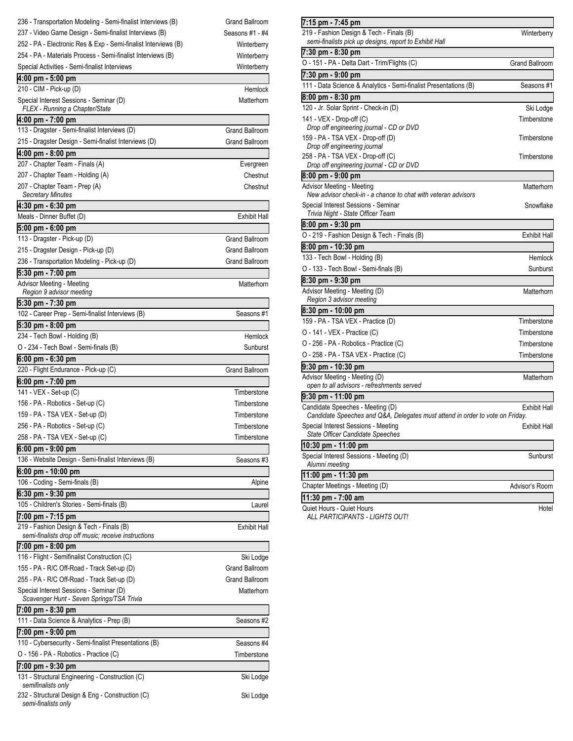| 236 - Transportation Modeling - Semi-finalist Interviews (B)                                    | <b>Grand Ballroom</b> |
|-------------------------------------------------------------------------------------------------|-----------------------|
| 237 - Video Game Design - Semi-finalist Interviews (B)                                          | Seasons #1 - #4       |
| 252 - PA - Electronic Res & Exp - Semi-finalist Interviews (B)                                  | Winterberry           |
| 254 - PA - Materials Process - Semi-finalist Interviews (B)                                     | Winterberry           |
| Special Activities - Semi-finalist Interviews                                                   | Winterberry           |
| 4:00 pm - 5:00 pm                                                                               |                       |
| 210 - CIM - Pick-up (D)                                                                         | Hemlock               |
| Special Interest Sessions - Seminar (D)<br>FLEX - Running a Chapter/State                       | Matterhorn            |
| 4:00 pm - 7:00 pm                                                                               |                       |
| 113 - Dragster - Semi-finalist Interviews (D)                                                   | Grand Ballroom        |
| 215 - Dragster Design - Semi-finalist Interviews (D)                                            | <b>Grand Ballroom</b> |
| 4:00 pm - 8:00 pm                                                                               |                       |
| 207 - Chapter Team - Finals (A)                                                                 | Evergreen             |
| 207 - Chapter Team - Holding (A)                                                                | Chestnut              |
| 207 - Chapter Team - Prep (A)                                                                   | Chestnut              |
| <b>Secretary Minutes</b>                                                                        |                       |
| 4:30 pm - 6:30 pm                                                                               |                       |
| Meals - Dinner Buffet (D)                                                                       | <b>Exhibit Hall</b>   |
| 5:00 pm - 6:00 pm                                                                               |                       |
| 113 - Dragster - Pick-up (D)                                                                    | <b>Grand Ballroom</b> |
| 215 - Dragster Design - Pick-up (D)                                                             | <b>Grand Ballroom</b> |
| 236 - Transportation Modeling - Pick-up (D)                                                     | <b>Grand Ballroom</b> |
| 5:30 pm - 7:00 pm                                                                               |                       |
| Advisor Meeting - Meeting                                                                       | Matterhorn            |
| Region 9 advisor meeting                                                                        |                       |
| 5:30 pm - 7:30 pm                                                                               |                       |
| 102 - Career Prep - Semi-finalist Interviews (B)                                                | Seasons #1            |
| 5:30 pm - 8:00 pm                                                                               |                       |
| 234 - Tech Bowl - Holding (B)                                                                   | Hemlock               |
| O - 234 - Tech Bowl - Semi-finals (B)                                                           | Sunburst              |
| 6:00 pm - 6:30 pm                                                                               |                       |
|                                                                                                 |                       |
| 220 - Flight Endurance - Pick-up (C)                                                            | <b>Grand Ballroom</b> |
| 6:00 pm - 7:00 pm                                                                               |                       |
| 141 - VEX - Set-up (C)                                                                          | Timberstone           |
| 156 - PA - Robotics - Set-up (C)                                                                | Timberstone           |
| 159 - PA - TSA VEX - Set-up (D)                                                                 | Timberstone           |
| 256 - PA - Robotics - Set-up (C)                                                                | Timberstone           |
| 258 - PA - TSA VEX - Set-up (C)                                                                 | Timberstone           |
| 6:00 pm - 9:00 pm                                                                               |                       |
| 136 - Website Design - Semi-finalist Interviews (B)                                             | Seasons #3            |
| 6:00 pm - 10:00 pm                                                                              |                       |
| 106 - Coding - Semi-finals (B)                                                                  | Alpine                |
| 6:30 pm - 9:30 pm                                                                               |                       |
| 105 - Children's Stories - Semi-finals (B)                                                      | Laurel                |
| 7:00 pm - 7:15 pm                                                                               |                       |
| 219 - Fashion Design & Tech - Finals (B)<br>semi-finalists drop off music; receive instructions | <b>Exhibit Hall</b>   |
|                                                                                                 |                       |
| 7:00 pm - 8:00 pm<br>116 - Flight - Semifinalist Construction (C)                               | Ski Lodge             |
| 155 - PA - R/C Off-Road - Track Set-up (D)                                                      | <b>Grand Ballroom</b> |
| 255 - PA - R/C Off-Road - Track Set-up (D)                                                      | <b>Grand Ballroom</b> |
| Special Interest Sessions - Seminar (D)                                                         | Matterhorn            |
| Scavenger Hunt - Seven Springs/TSA Trivia                                                       |                       |
| 7:00 pm - 8:30 pm                                                                               |                       |
| 111 - Data Science & Analytics - Prep (B)                                                       | Seasons #2            |
| 7:00 pm - 9:00 pm                                                                               |                       |
| 110 - Cybersecurity - Semi-finalist Presentations (B)                                           | Seasons #4            |
| O - 156 - PA - Robotics - Practice (C)                                                          | Timberstone           |
| 7:00 pm - 9:30 pm                                                                               |                       |
| 131 - Structural Engineering - Construction (C)                                                 | Ski Lodge             |
| semifinalists only                                                                              |                       |
| 232 - Structural Design & Eng - Construction (C)<br>semi-finalists only                         | Ski Lodge             |

| 7:15 pm - 7:45 pm                                                             |                       |
|-------------------------------------------------------------------------------|-----------------------|
| 219 - Fashion Design & Tech - Finals (B)                                      | Winterberry           |
| semi-finalists pick up designs, report to Exhibit Hall                        |                       |
| 7:30 pm - 8:30 pm                                                             |                       |
| O - 151 - PA - Delta Dart - Trim/Flights (C)                                  | <b>Grand Ballroom</b> |
| 7:30 pm - 9:00 pm                                                             |                       |
| 111 - Data Science & Analytics - Semi-finalist Presentations (B)              | Seasons #1            |
| 8:00 pm - 8:30 pm                                                             |                       |
| 120 - Jr. Solar Sprint - Check-in (D)                                         | Ski Lodge             |
| 141 - VEX - Drop-off (C)                                                      | Timberstone           |
| Drop off engineering journal - CD or DVD                                      |                       |
| 159 - PA - TSA VEX - Drop-off (D)                                             | Timberstone           |
| Drop off engineering journal                                                  |                       |
| 258 - PA - TSA VEX - Drop-off (C)<br>Drop off engineering journal - CD or DVD | Timberstone           |
| 8:00 pm - 9:00 pm                                                             |                       |
| Advisor Meeting - Meeting                                                     | Matterhorn            |
| New advisor check-in - a chance to chat with veteran advisors                 |                       |
| Special Interest Sessions - Seminar                                           | Snowflake             |
| Trivia Night - State Officer Team                                             |                       |
| 8:00 pm - 9:30 pm                                                             |                       |
| O - 219 - Fashion Design & Tech - Finals (B)                                  | <b>Exhibit Hall</b>   |
| 8:00 pm - 10:30 pm                                                            |                       |
| 133 - Tech Bowl - Holding (B)                                                 | Hemlock               |
| O - 133 - Tech Bowl - Semi-finals (B)                                         | Sunburst              |
| 8:30 pm - 9:30 pm                                                             |                       |
| Advisor Meeting - Meeting (D)                                                 | Matterhorn            |
| Region 3 advisor meeting                                                      |                       |
| 8:30 pm - 10:00 pm                                                            |                       |
| 159 - PA - TSA VEX - Practice (D)                                             | Timberstone           |
| O - 141 - VEX - Practice (C)                                                  | Timberstone           |
| O - 256 - PA - Robotics - Practice (C)                                        | Timberstone           |
| O - 258 - PA - TSA VEX - Practice (C)                                         | Timberstone           |
| 9:30 pm - 10:30 pm                                                            |                       |
| Advisor Meeting - Meeting (D)                                                 | Matterhorn            |
| open to all advisors - refreshments served                                    |                       |
| 9:30 pm - 11:00 pm                                                            |                       |
| Candidate Speeches - Meeting (D)                                              | <b>Exhibit Hall</b>   |
| Candidate Speeches and Q&A, Delegates must attend in order to vote on Friday. |                       |
| Special Interest Sessions - Meeting<br>State Officer Candidate Speeches       | Exhibit Hall          |
| 10:30 pm - 11:00 pm                                                           |                       |
| Special Interest Sessions - Meeting (D)                                       | Sunburst              |
| Alumni meeting                                                                |                       |
| 11:00 pm - 11:30 pm                                                           |                       |
| Chapter Meetings - Meeting (D)                                                | Advisor's Room        |
| 11:30 pm - 7:00 am                                                            |                       |
| Quiet Hours - Quiet Hours                                                     | Hotel                 |

Quiet Hours - Quiet Hours *ALL PARTICIPANTS - LIGHTS OUT!*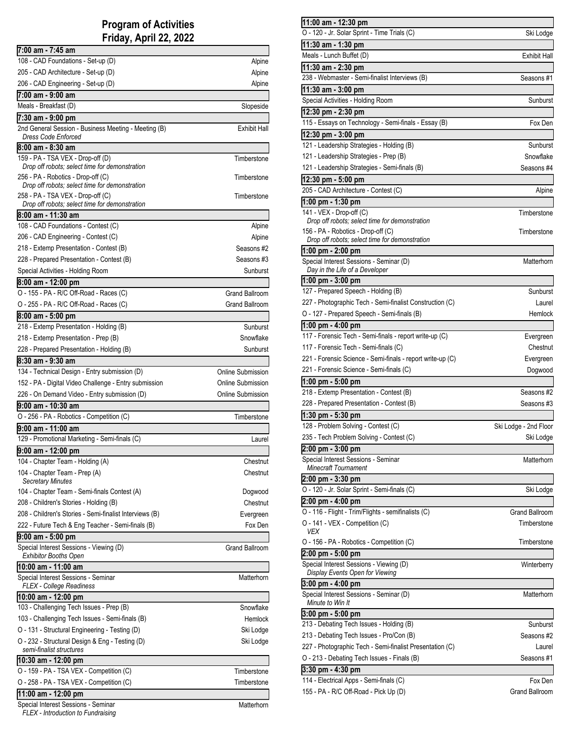### **Program of Activities Friday, April 22, 2022**

| 7:00 am - 7:45 am                                                                    |                          |
|--------------------------------------------------------------------------------------|--------------------------|
| 108 - CAD Foundations - Set-up (D)                                                   | Alpine                   |
| 205 - CAD Architecture - Set-up (D)                                                  | Alpine                   |
| 206 - CAD Engineering - Set-up (D)                                                   | Alpine                   |
| 7:00 am - 9:00 am                                                                    |                          |
| Meals - Breakfast (D)                                                                | Slopeside                |
| 7:30 am - 9:00 pm                                                                    |                          |
| 2nd General Session - Business Meeting - Meeting (B)<br><b>Dress Code Enforced</b>   | <b>Exhibit Hall</b>      |
| 8:00 am - 8:30 am                                                                    |                          |
| 159 - PA - TSA VEX - Drop-off (D)                                                    | Timberstone              |
| Drop off robots: select time for demonstration                                       |                          |
| 256 - PA - Robotics - Drop-off (C)<br>Drop off robots; select time for demonstration | Timberstone              |
| 258 - PA - TSA VEX - Drop-off (C)                                                    | Timberstone              |
| Drop off robots; select time for demonstration                                       |                          |
| 8:00 am - 11:30 am                                                                   |                          |
| 108 - CAD Foundations - Contest (C)                                                  | Alpine                   |
| 206 - CAD Engineering - Contest (C)                                                  | Alpine                   |
| 218 - Extemp Presentation - Contest (B)                                              | Seasons #2               |
| 228 - Prepared Presentation - Contest (B)                                            | Seasons #3               |
| Special Activities - Holding Room                                                    | Sunburst                 |
| 8:00 am - 12:00 pm                                                                   |                          |
| O - 155 - PA - R/C Off-Road - Races (C)                                              | <b>Grand Ballroom</b>    |
| O - 255 - PA - R/C Off-Road - Races (C)                                              | Grand Ballroom           |
| 8:00 am - 5:00 pm                                                                    |                          |
| 218 - Extemp Presentation - Holding (B)                                              | Sunburst                 |
| 218 - Extemp Presentation - Prep (B)                                                 | Snowflake                |
| 228 - Prepared Presentation - Holding (B)                                            | Sunburst                 |
| 8:30 am - 9:30 am                                                                    |                          |
| 134 - Technical Design - Entry submission (D)                                        | Online Submission        |
| 152 - PA - Digital Video Challenge - Entry submission                                | Online Submission        |
| 226 - On Demand Video - Entry submission (D)                                         | <b>Online Submission</b> |
| 9:00 am - 10:30 am                                                                   |                          |
| O - 256 - PA - Robotics - Competition (C)                                            | Timberstone              |
| 9:00 am - 11:00 am                                                                   |                          |
| 129 - Promotional Marketing - Semi-finals (C)                                        | Laurel                   |
| 9:00 am - 12:00 pm                                                                   |                          |
| 104 - Chapter Team - Holding (A)                                                     | Chestnut                 |
| 104 - Chapter Team - Prep (A)<br><b>Secretary Minutes</b>                            | Chestnut                 |
| 104 - Chapter Team - Semi-finals Contest (A)                                         | Dogwood                  |
| 208 - Children's Stories - Holding (B)                                               | Chestnut                 |
| 208 - Children's Stories - Semi-finalist Interviews (B)                              | Evergreen                |
| 222 - Future Tech & Eng Teacher - Semi-finals (B)                                    | Fox Den                  |
| 9:00 am - 5:00 pm                                                                    |                          |
|                                                                                      |                          |
| Special Interest Sessions - Viewing (D)                                              | Grand Ballroom           |
| <b>Exhibitor Booths Open</b>                                                         |                          |
| 10:00 am - 11:00 am<br>Special Interest Sessions - Seminar                           | Matterhorn               |
| FLEX - College Readiness                                                             |                          |
| 10:00 am - 12:00 pm                                                                  |                          |
| 103 - Challenging Tech Issues - Prep (B)                                             | Snowflake                |
| 103 - Challenging Tech Issues - Semi-finals (B)                                      | Hemlock                  |
| O - 131 - Structural Engineering - Testing (D)                                       | Ski Lodge                |
| O - 232 - Structural Design & Eng - Testing (D)<br>semi-finalist structures          | Ski Lodge                |
| 10:30 am - 12:00 pm                                                                  |                          |
|                                                                                      | Timberstone              |
| O - 159 - PA - TSA VEX - Competition (C)<br>O - 258 - PA - TSA VEX - Competition (C) | Timberstone              |
| 11:00 am - 12:00 pm<br>Special Interest Sessions - Seminar                           |                          |

|  |  |  |  |  |  |  |  |  | FLEX - Introduction to Fundraising |
|--|--|--|--|--|--|--|--|--|------------------------------------|

| 11:00 am - 12:30 pm                                                              |                                  |
|----------------------------------------------------------------------------------|----------------------------------|
| O - 120 - Jr. Solar Sprint - Time Trials (C)                                     | Ski Lodge                        |
| 11:30 am - 1:30 pm                                                               |                                  |
| Meals - Lunch Buffet (D)                                                         | Exhibit Hall                     |
| 11:30 am - 2:30 pm                                                               |                                  |
| 238 - Webmaster - Semi-finalist Interviews (B)                                   | Seasons #1                       |
|                                                                                  |                                  |
| 11:30 am - 3:00 pm                                                               |                                  |
| Special Activities - Holding Room                                                | Sunburst                         |
| 12:30 pm - 2:30 pm                                                               |                                  |
| 115 - Essays on Technology - Semi-finals - Essay (B)                             | Fox Den                          |
| 12:30 pm - 3:00 pm                                                               |                                  |
| 121 - Leadership Strategies - Holding (B)                                        | Sunburst                         |
| 121 - Leadership Strategies - Prep (B)                                           | Snowflake                        |
| 121 - Leadership Strategies - Semi-finals (B)                                    | Seasons #4                       |
|                                                                                  |                                  |
| 12:30 pm - 5:00 pm                                                               |                                  |
| 205 - CAD Architecture - Contest (C)                                             | Alpine                           |
| 1:00 pm - 1:30 pm                                                                |                                  |
| 141 - VEX - Drop-off (C)                                                         | Timberstone                      |
| Drop off robots; select time for demonstration                                   |                                  |
| 156 - PA - Robotics - Drop-off (C)                                               | Timberstone                      |
| Drop off robots; select time for demonstration                                   |                                  |
| 1:00 pm - 2:00 pm                                                                |                                  |
| Special Interest Sessions - Seminar (D)<br>Day in the Life of a Developer        | Matterhorn                       |
|                                                                                  |                                  |
| 1:00 pm - 3:00 pm                                                                |                                  |
| 127 - Prepared Speech - Holding (B)                                              | Sunburst                         |
| 227 - Photographic Tech - Semi-finalist Construction (C)                         | Laurel                           |
| O - 127 - Prepared Speech - Semi-finals (B)                                      | Hemlock                          |
| 1:00 pm - 4:00 pm                                                                |                                  |
| 117 - Forensic Tech - Semi-finals - report write-up (C)                          | Evergreen                        |
| 117 - Forensic Tech - Semi-finals (C)                                            | Chestnut                         |
| 221 - Forensic Science - Semi-finals - report write-up (C)                       | Evergreen                        |
| 221 - Forensic Science - Semi-finals (C)                                         | Dogwood                          |
| 1:00 pm - 5:00 pm                                                                |                                  |
| 218 - Extemp Presentation - Contest (B)                                          | Seasons #2                       |
| 228 - Prepared Presentation - Contest (B)                                        | Seasons #3                       |
|                                                                                  |                                  |
| 1:30 pm - 5:30 pm                                                                |                                  |
| 128 - Problem Solving - Contest (C)                                              | Ski Lodge - 2nd Floor            |
| 235 - Tech Problem Solving - Contest (C)                                         | Ski Lodge                        |
| 2:00 pm - 3:00 pm                                                                |                                  |
| Special Interest Sessions - Seminar                                              | Matterhorn                       |
| <b>Minecraft Tournament</b>                                                      |                                  |
| 2:00 pm - 3:30 pm                                                                |                                  |
| O - 120 - Jr. Solar Sprint - Semi-finals (C)                                     | Ski Lodge                        |
| 2:00 pm - 4:00 pm                                                                |                                  |
| O - 116 - Flight - Trim/Flights - semifinalists (C)                              | <b>Grand Ballroom</b>            |
| O - 141 - VEX - Competition (C)                                                  | Timberstone                      |
| <b>VEX</b>                                                                       |                                  |
| O - 156 - PA - Robotics - Competition (C)                                        | Timberstone                      |
| 2:00 pm - 5:00 pm                                                                |                                  |
| Special Interest Sessions - Viewing (D)                                          | Winterberry                      |
| Display Events Open for Viewing                                                  |                                  |
| 3:00 pm - 4:00 pm                                                                |                                  |
| Special Interest Sessions - Seminar (D)                                          | Matterhorn                       |
| Minute to Win It                                                                 |                                  |
| 3:00 pm - 5:00 pm                                                                |                                  |
|                                                                                  |                                  |
| 213 - Debating Tech Issues - Holding (B)                                         |                                  |
|                                                                                  |                                  |
| 213 - Debating Tech Issues - Pro/Con (B)                                         |                                  |
| 227 - Photographic Tech - Semi-finalist Presentation (C)                         | Sunburst<br>Seasons #2<br>Laurel |
| O - 213 - Debating Tech Issues - Finals (B)                                      | Seasons #1                       |
| 3:30 pm - 4:30 pm                                                                |                                  |
| 114 - Electrical Apps - Semi-finals (C)<br>155 - PA - R/C Off-Road - Pick Up (D) | Fox Den<br>Grand Ballroom        |